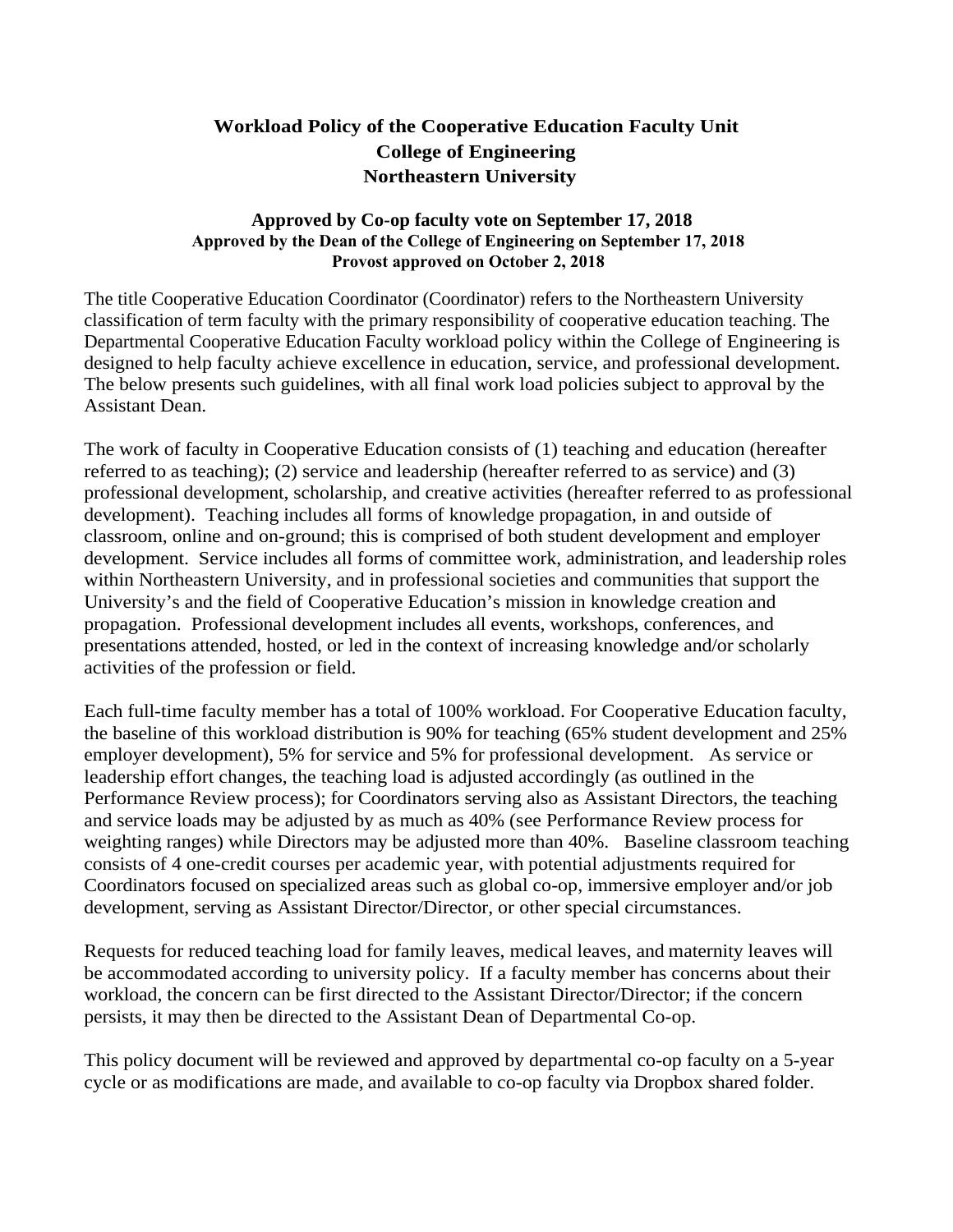## **Workload Policy of the Cooperative Education Faculty Unit College of Engineering Northeastern University**

## **Approved by Co-op faculty vote on September 17, 2018 Approved by the Dean of the College of Engineering on September 17, 2018 Provost approved on October 2, 2018**

The title Cooperative Education Coordinator (Coordinator) refers to the Northeastern University classification of term faculty with the primary responsibility of cooperative education teaching. The Departmental Cooperative Education Faculty workload policy within the College of Engineering is designed to help faculty achieve excellence in education, service, and professional development. The below presents such guidelines, with all final work load policies subject to approval by the Assistant Dean.

The work of faculty in Cooperative Education consists of (1) teaching and education (hereafter referred to as teaching); (2) service and leadership (hereafter referred to as service) and (3) professional development, scholarship, and creative activities (hereafter referred to as professional development). Teaching includes all forms of knowledge propagation, in and outside of classroom, online and on-ground; this is comprised of both student development and employer development. Service includes all forms of committee work, administration, and leadership roles within Northeastern University, and in professional societies and communities that support the University's and the field of Cooperative Education's mission in knowledge creation and propagation. Professional development includes all events, workshops, conferences, and presentations attended, hosted, or led in the context of increasing knowledge and/or scholarly activities of the profession or field.

Each full-time faculty member has a total of 100% workload. For Cooperative Education faculty, the baseline of this workload distribution is 90% for teaching (65% student development and 25% employer development), 5% for service and 5% for professional development. As service or leadership effort changes, the teaching load is adjusted accordingly (as outlined in the Performance Review process); for Coordinators serving also as Assistant Directors, the teaching and service loads may be adjusted by as much as 40% (see Performance Review process for weighting ranges) while Directors may be adjusted more than 40%. Baseline classroom teaching consists of 4 one-credit courses per academic year, with potential adjustments required for Coordinators focused on specialized areas such as global co-op, immersive employer and/or job development, serving as Assistant Director/Director, or other special circumstances.

Requests for reduced teaching load for family leaves, medical leaves, and maternity leaves will be accommodated according to university policy. If a faculty member has concerns about their workload, the concern can be first directed to the Assistant Director/Director; if the concern persists, it may then be directed to the Assistant Dean of Departmental Co-op.

This policy document will be reviewed and approved by departmental co-op faculty on a 5-year cycle or as modifications are made, and available to co-op faculty via Dropbox shared folder.